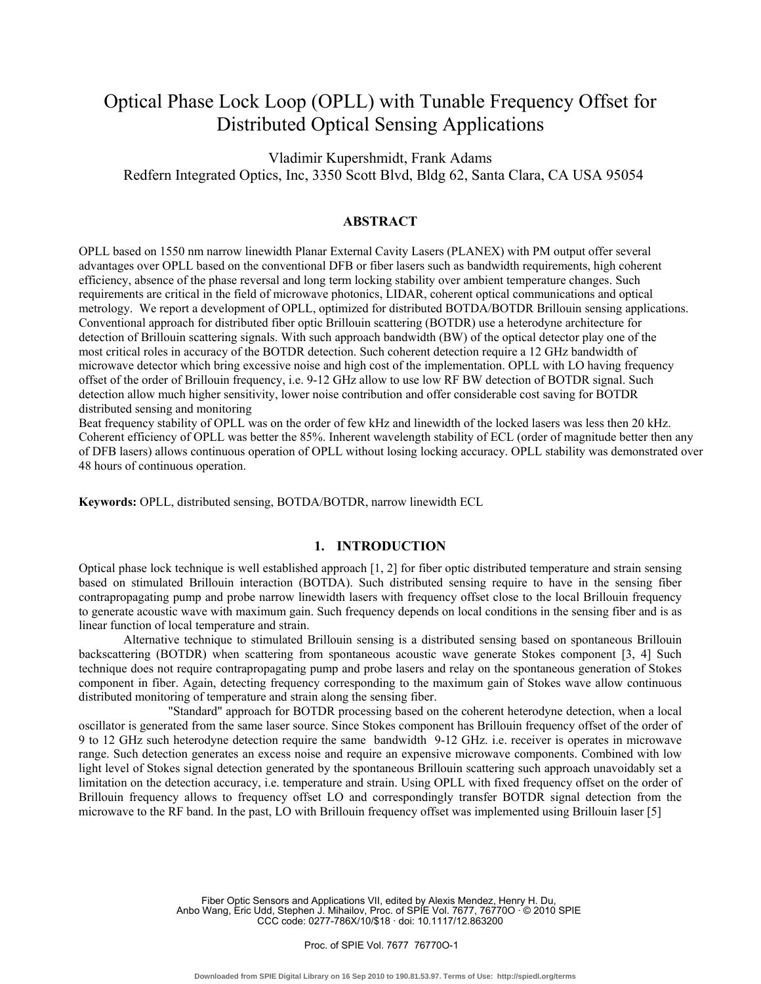# Optical Phase Lock Loop (OPLL) with Tunable Frequency Offset for Distributed Optical Sensing Applications

Vladimir Kupershmidt, Frank Adams Redfern Integrated Optics, Inc, 3350 Scott Blvd, Bldg 62, Santa Clara, CA USA 95054

### **ABSTRACT**

OPLL based on 1550 nm narrow linewidth Planar External Cavity Lasers (PLANEX) with PM output offer several advantages over OPLL based on the conventional DFB or fiber lasers such as bandwidth requirements, high coherent efficiency, absence of the phase reversal and long term locking stability over ambient temperature changes. Such requirements are critical in the field of microwave photonics, LIDAR, coherent optical communications and optical metrology. We report a development of OPLL, optimized for distributed BOTDA/BOTDR Brillouin sensing applications. Conventional approach for distributed fiber optic Brillouin scattering (BOTDR) use a heterodyne architecture for detection of Brillouin scattering signals. With such approach bandwidth (BW) of the optical detector play one of the most critical roles in accuracy of the BOTDR detection. Such coherent detection require a 12 GHz bandwidth of microwave detector which bring excessive noise and high cost of the implementation. OPLL with LO having frequency offset of the order of Brillouin frequency, i.e. 9-12 GHz allow to use low RF BW detection of BOTDR signal. Such detection allow much higher sensitivity, lower noise contribution and offer considerable cost saving for BOTDR distributed sensing and monitoring

Beat frequency stability of OPLL was on the order of few kHz and linewidth of the locked lasers was less then 20 kHz. Coherent efficiency of OPLL was better the 85%. Inherent wavelength stability of ECL (order of magnitude better then any of DFB lasers) allows continuous operation of OPLL without losing locking accuracy. OPLL stability was demonstrated over 48 hours of continuous operation.

**Keywords:** OPLL, distributed sensing, BOTDA/BOTDR, narrow linewidth ECL

## **1. INTRODUCTION**

Optical phase lock technique is well established approach [1, 2] for fiber optic distributed temperature and strain sensing based on stimulated Brillouin interaction (BOTDA). Such distributed sensing require to have in the sensing fiber contrapropagating pump and probe narrow linewidth lasers with frequency offset close to the local Brillouin frequency to generate acoustic wave with maximum gain. Such frequency depends on local conditions in the sensing fiber and is as linear function of local temperature and strain.

 Alternative technique to stimulated Brillouin sensing is a distributed sensing based on spontaneous Brillouin backscattering (BOTDR) when scattering from spontaneous acoustic wave generate Stokes component [3, 4] Such technique does not require contrapropagating pump and probe lasers and relay on the spontaneous generation of Stokes component in fiber. Again, detecting frequency corresponding to the maximum gain of Stokes wave allow continuous distributed monitoring of temperature and strain along the sensing fiber.

 "Standard" approach for BOTDR processing based on the coherent heterodyne detection, when a local oscillator is generated from the same laser source. Since Stokes component has Brillouin frequency offset of the order of 9 to 12 GHz such heterodyne detection require the same bandwidth 9-12 GHz. i.e. receiver is operates in microwave range. Such detection generates an excess noise and require an expensive microwave components. Combined with low light level of Stokes signal detection generated by the spontaneous Brillouin scattering such approach unavoidably set a limitation on the detection accuracy, i.e. temperature and strain. Using OPLL with fixed frequency offset on the order of Brillouin frequency allows to frequency offset LO and correspondingly transfer BOTDR signal detection from the microwave to the RF band. In the past, LO with Brillouin frequency offset was implemented using Brillouin laser [5]

> Fiber Optic Sensors and Applications VII, edited by Alexis Mendez, Henry H. Du, Anbo Wang, Eric Udd, Stephen J. Mihailov, Proc. of SPIE Vol. 7677, 76770O · © 2010 SPIE CCC code: 0277-786X/10/\$18 · doi: 10.1117/12.863200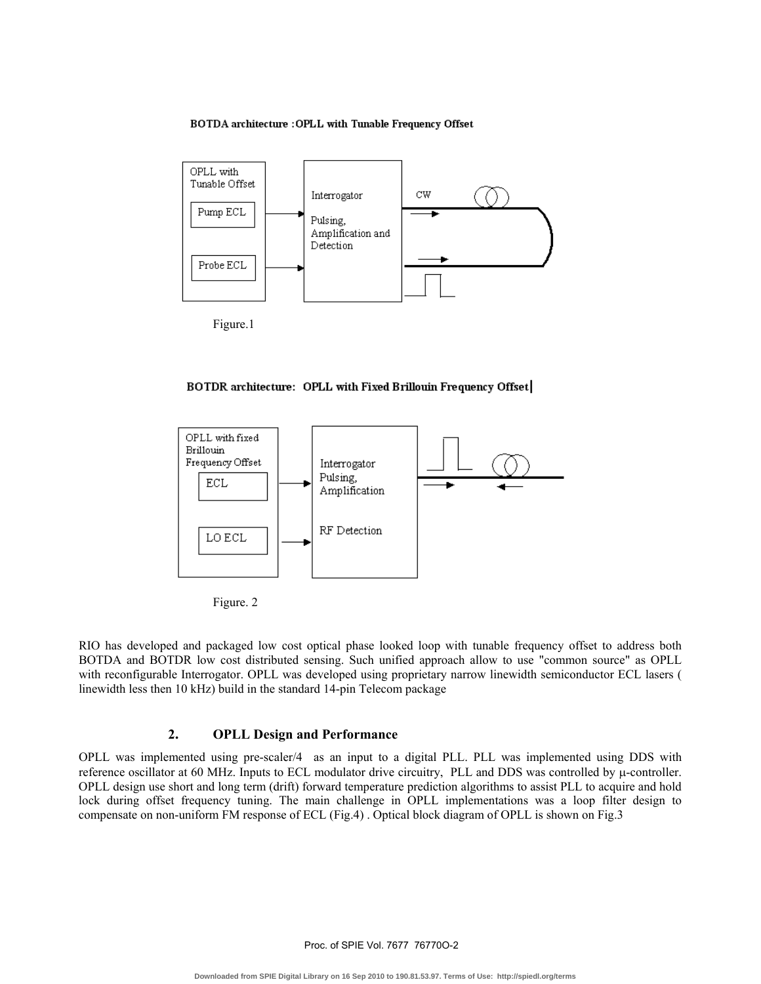#### BOTDA architecture : OPLL with Tunable Frequency Offset



Figure.1







RIO has developed and packaged low cost optical phase looked loop with tunable frequency offset to address both BOTDA and BOTDR low cost distributed sensing. Such unified approach allow to use "common source" as OPLL with reconfigurable Interrogator. OPLL was developed using proprietary narrow linewidth semiconductor ECL lasers ( linewidth less then 10 kHz) build in the standard 14-pin Telecom package

## **2. OPLL Design and Performance**

OPLL was implemented using pre-scaler/4 as an input to a digital PLL. PLL was implemented using DDS with reference oscillator at 60 MHz. Inputs to ECL modulator drive circuitry, PLL and DDS was controlled by μ-controller. OPLL design use short and long term (drift) forward temperature prediction algorithms to assist PLL to acquire and hold lock during offset frequency tuning. The main challenge in OPLL implementations was a loop filter design to compensate on non-uniform FM response of ECL (Fig.4) . Optical block diagram of OPLL is shown on Fig.3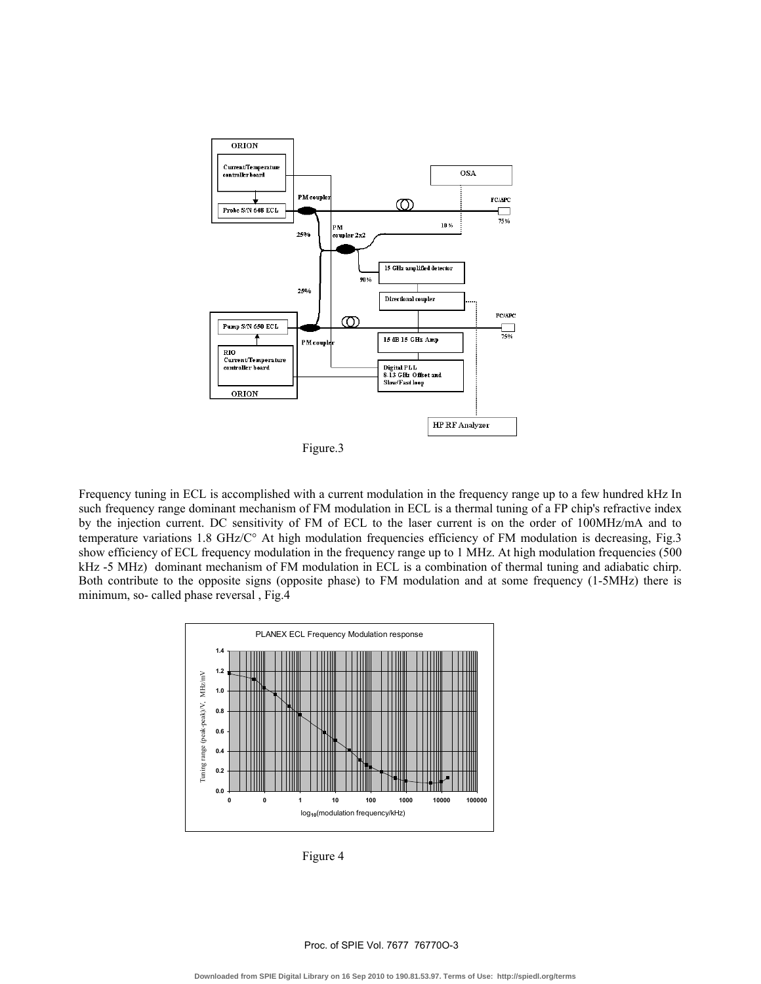

Figure.3

Frequency tuning in ECL is accomplished with a current modulation in the frequency range up to a few hundred kHz In such frequency range dominant mechanism of FM modulation in ECL is a thermal tuning of a FP chip's refractive index by the injection current. DC sensitivity of FM of ECL to the laser current is on the order of 100MHz/mA and to temperature variations 1.8 GHz/C° At high modulation frequencies efficiency of FM modulation is decreasing, Fig.3 show efficiency of ECL frequency modulation in the frequency range up to 1 MHz. At high modulation frequencies (500 kHz -5 MHz) dominant mechanism of FM modulation in ECL is a combination of thermal tuning and adiabatic chirp. Both contribute to the opposite signs (opposite phase) to FM modulation and at some frequency (1-5MHz) there is minimum, so- called phase reversal , Fig.4



Figure 4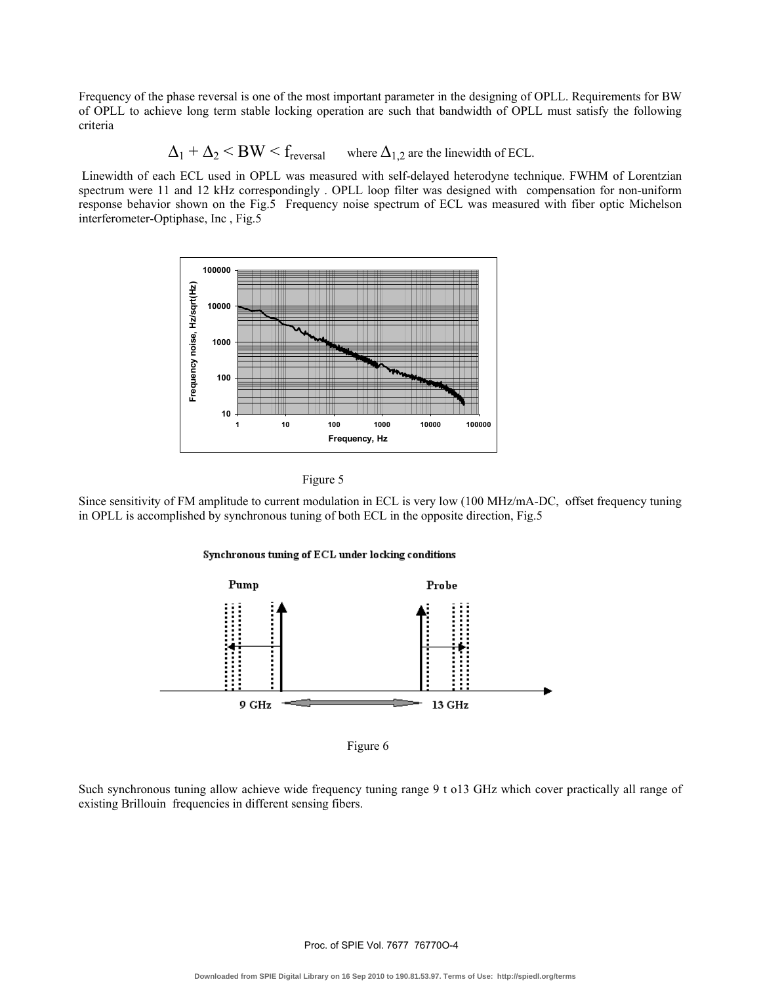Frequency of the phase reversal is one of the most important parameter in the designing of OPLL. Requirements for BW of OPLL to achieve long term stable locking operation are such that bandwidth of OPLL must satisfy the following criteria

 $\Delta_1 + \Delta_2 \le BW \le f_{reversal}$  where  $\Delta_{1,2}$  are the linewidth of ECL.

 Linewidth of each ECL used in OPLL was measured with self-delayed heterodyne technique. FWHM of Lorentzian spectrum were 11 and 12 kHz correspondingly . OPLL loop filter was designed with compensation for non-uniform response behavior shown on the Fig.5 Frequency noise spectrum of ECL was measured with fiber optic Michelson interferometer-Optiphase, Inc , Fig.5





Since sensitivity of FM amplitude to current modulation in ECL is very low (100 MHz/mA-DC, offset frequency tuning in OPLL is accomplished by synchronous tuning of both ECL in the opposite direction, Fig.5





Figure 6

Such synchronous tuning allow achieve wide frequency tuning range 9 t o13 GHz which cover practically all range of existing Brillouin frequencies in different sensing fibers.